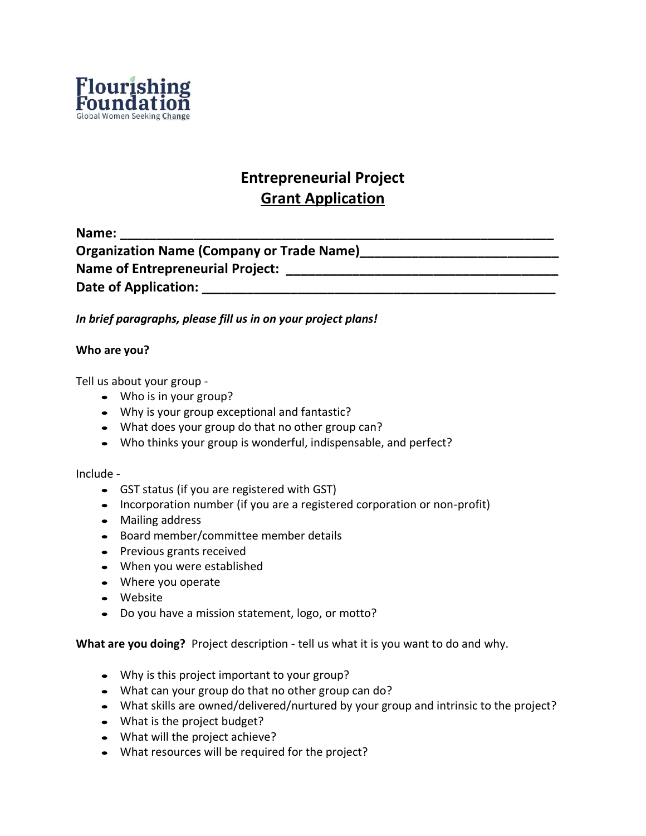

# **Entrepreneurial Project Grant Application**

**Name: \_\_\_\_\_\_\_\_\_\_\_\_\_\_\_\_\_\_\_\_\_\_\_\_\_\_\_\_\_\_\_\_\_\_\_\_\_\_\_\_\_\_\_\_\_\_\_\_\_\_\_\_\_\_\_\_\_\_\_ Organization Name (Company or Trade Name)\_\_\_\_\_\_\_\_\_\_\_\_\_\_\_\_\_\_\_\_\_\_\_\_\_\_\_ Name of Entrepreneurial Project: \_\_\_\_\_\_\_\_\_\_\_\_\_\_\_\_\_\_\_\_\_\_\_\_\_\_\_\_\_\_\_\_\_\_\_\_\_** Date of Application:

*In brief paragraphs, please fill us in on your project plans!*

## **Who are you?**

Tell us about your group -

- Who is in your group?
- Why is your group exceptional and fantastic?
- What does your group do that no other group can?
- Who thinks your group is wonderful, indispensable, and perfect?

## Include -

- GST status (if you are registered with GST)
- Incorporation number (if you are a registered corporation or non-profit)
- Mailing address
- Board member/committee member details
- Previous grants received
- When you were established
- Where you operate
- Website
- Do you have a mission statement, logo, or motto?

**What are you doing?** Project description - tell us what it is you want to do and why.

- Why is this project important to your group?
- What can your group do that no other group can do?
- What skills are owned/delivered/nurtured by your group and intrinsic to the project?
- What is the project budget?
- What will the project achieve?
- What resources will be required for the project?